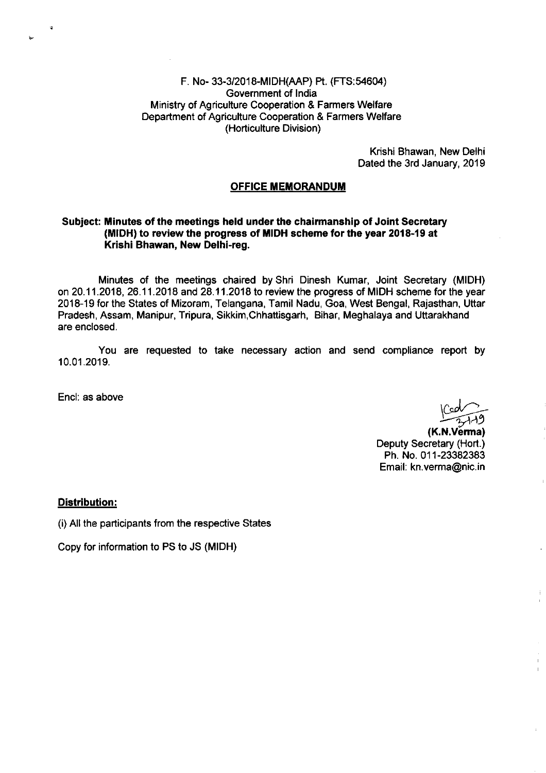#### F. No- 33-3/2018-MIDH(AAP) ft. (FTS:54604) Government of lndia Ministry of Agriculture Cooperation & Farmers Welfare Department of Agriculture Cooperation & Farmers Weffare (Horticulture Division)

Krishi Bhawan, New Delhi Dated the 3rd January, 2019

#### OFFICE MEMORANDUM

#### Subject: Minutes of the meetings held under the chairmanship of Joint Secretary (MIDH) to review the progress of MIDH scheme for the year 2018-19 at Krishi Bhawan, New Delhi-reg.

Minutes of the meetings chaired by Shri Dinesh Kumar, Joint Secretary (MIDH) on 20.11.2018, 26.11.2018 and 28.11.2018 to review the progress of MIDH scheme for the year 2018-19 for the States of Mizoram, Telangana, Tamil Nadu, Goa, West Bengal, Rajasthan, Uttar Pradesh, Assam, Manipur, Tripura, Sikkim,Chhaftisgarh, Bihar, Meghalaya and Uttarakhand are enclosed.

You are requested to take necessary action and send compliance report by 10.01 .2019.

Encl: as above

 $\ddot{\phantom{a}}$ 

A9

(K.N.Vě<mark>r</mark>ma) Deputy Secretary (Hort.) Ph. No.011-23382383 Email: kn.verma@nic.in

#### Distribution:

(i) All the participants from the respective States

Copy for information to PS to JS (MIDH)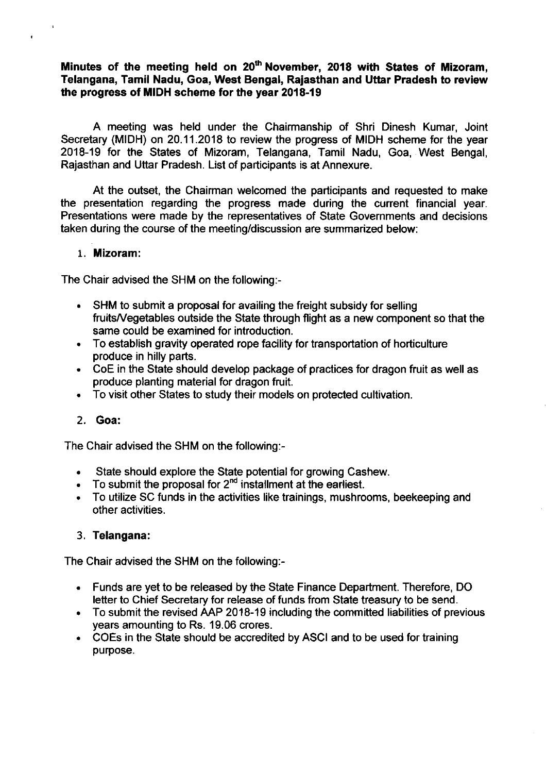### Minutes of the meeting held on  $20<sup>th</sup>$  November, 2018 with States of Mizoram, Telangana, Tamil Nadu, Goa, West Bengal, Raiasthan and Uttar Pradesh to review the progress of MIDH scheme for the year 2018-19

A meeting was held under the Chairmanship of Shri Dinesh Kumar, Joint Secretary (MIDH) on 20.11.2018 to review the progress of MIDH scheme for the year 2018-19 for the States of Mizoram, Telangana, Tamil Nadu, Goa, West Bengal, Rajasthan and Uttar Pradesh. List of participants is at Annexure.

At the outset, the Chairman welcomed the participants and requested to make the presentation regarding the progress made during the current financial year. Presentations were made by the representatives of State Governments and decisions taken during the course of the meeting/discussion are summarized below:

#### 1. Mizoram:

 $\ddot{\phantom{0}}$ 

The Chair advised the SHM on the following:-

- SHM to submit a proposal for availing the freight subsidy for selling fruitsA/egetables outside the State through flight as a new component so that the same could be examined for introduction.
- To establish gravity operated rope facility for transportation of horticulture  $\bullet$ produce in hilly parts.
- CoE in the State should develop package of practices for dragon fruit as well as produce planting material for dragon fruit.
- To visit other States to study their models on protected cultivation.  $\bullet$

#### 2. Goa:

The Chair advised the SHM on the following:-

- . State should explore the State potential for growing Cashew.
- To submit the proposal for 2<sup>nd</sup> installment at the earliest.
- . To utilize SC funds in the activities like trainings, mushrooms, beekeeping and other activities.

#### 3. Telangana:

The Chair advised the SHM on the following:-

- Funds are yet to be released by the State Finance Department. Therefore, DO letter to Chief Secretary for release of funds from State treasury to be send.
- To submit the revised AAP 2018-19 including the committed liabilities of previous years amounting to Rs. 19.06 crores.
- COEs in the State should be accredited by ASCI and to be used for training purpose.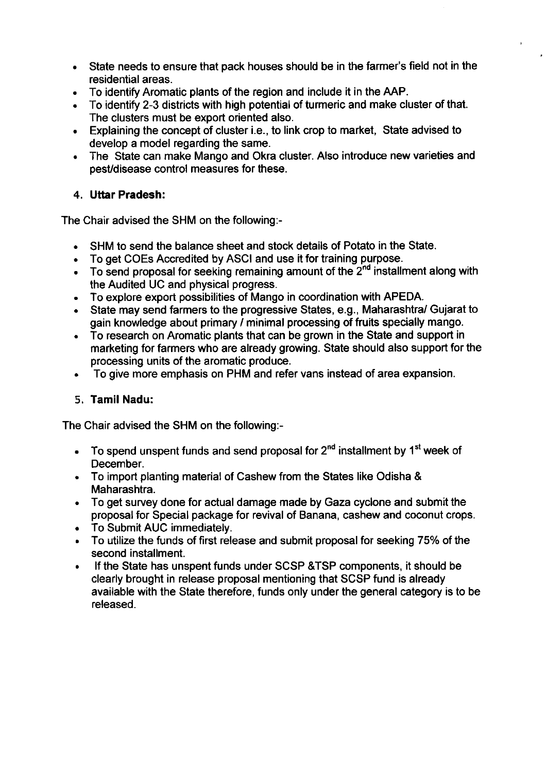- . State needs to ensure that pack houses should be in the farmer's field not in the residential areas.
- . To identify Aromatic plants of the region and include it in the AAP.
- . To identify 2-3 districts with high potential of turmeric and make cluster of that. The clusters must be export oriented also.
- . Explaining the concept of cluster i.e., to link crop to market, State advised to develop a model regarding the same.
- . The State can make Mango and Okra cluster. Also introduce new varieties and pesUdisease control measures for these.

# 4. Uttar Pradesh:

The Chair advised the SHM on the following:-

- . SHM to send the balance sheet and stock details of Potato in the State.
- To get COEs Accredited by ASCI and use it for training purpose.
- $\bullet$  To send proposal for seeking remaining amount of the  $2^{nd}$  installment along with the Audited UC and physical progress.
- . To explore export possibilities of Mango in coordination with APEDA.
- . State may send farmers to the progressive States, e.9., Maharashtra/ Gujarat to gain knowledge about primary / minimal processing of fruits specially mango.
- . To research on Aromatic plants that can be grown in the State and support in marketing for farmers who are already growing. State should also support for the processing units of the aromatic produce.
- . To give more emphasis on PHM and refer vans instead of area expansion.

# 5. Tamil Nadu:

The Chair advised the SHM on the following:-

- $\bullet$  To spend unspent funds and send proposal for  $2^{nd}$  installment by 1<sup>st</sup> week of December.
- . To import planting material of Cashew from the States like Odisha & Maharashtra.
- . To get survey done for actual damage made by Gaza cyclone and submit the proposal for Special package for revival of Banana, cashew and coconut crops.
- . To Submit AUC immediately.
- To utilize the funds of first release and submit proposal for seeking 75% of the second installment.
- . lf the State has unspent funds under SCSP &TSP components, it should be clearly brought in release proposal mentioning that SCSP fund is already available with the State therefore, funds only under the general category is to be released.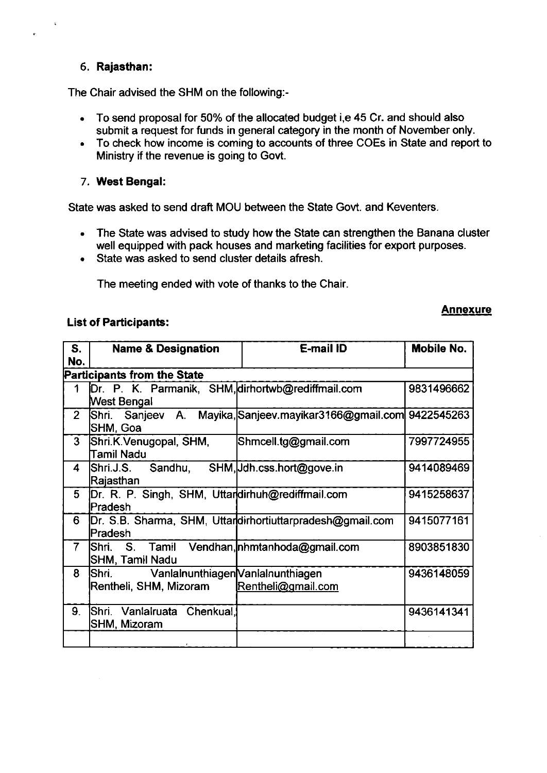#### 6. Rajasthan:

The Chair advised the SHM on the following:-

- To send proposal for 50% of the allocated budget i,e 45 Cr. and should also submit a request for funds in general category in the month of November only.
- To check how income is coming to accounts of three COEs in State and report to Ministry if the revenue is going to Govt.

#### 7. West Bengal:

State was asked to send draft MOU between the State Govt. and Keventers

- The State was advised to study how the State can strengthen the Banana cluster well equipped with pack houses and marketing facilities for export purposes.
- State was asked to send cluster details afresh.

The meeting ended with vote of thanks to the Chair

#### List of Participants:

#### Annexure

| S.<br>No.      | <b>Name &amp; Designation</b>                                        | <b>E-mail ID</b>                                          | Mobile No. |  |  |  |
|----------------|----------------------------------------------------------------------|-----------------------------------------------------------|------------|--|--|--|
|                | <b>Participants from the State</b>                                   |                                                           |            |  |  |  |
| 1              | Dr. P. K. Parmanik, SHM, dirhortwb@rediffmail.com<br>West Bengal     |                                                           | 9831496662 |  |  |  |
| $\overline{2}$ | Shri. Sanjeev A.<br>SHM, Goa                                         | Mayika, Sanjeev. mayikar 3166@gmail.com 9422545263        |            |  |  |  |
| 3              | Shri.K.Venugopal, SHM,<br>Tamil Nadu                                 | Shmcell.tg@gmail.com                                      | 7997724955 |  |  |  |
| 4              | Shri.J.S.<br>Sandhu,<br>Rajasthan                                    | SHM, Jdh.css.hort@gove.in                                 | 9414089469 |  |  |  |
| 5              | Dr. R. P. Singh, SHM, Uttardirhuh@rediffmail.com<br>Pradesh          |                                                           | 9415258637 |  |  |  |
| 6              | Pradesh                                                              | Dr. S.B. Sharma, SHM, Uttardirhortiuttarpradesh@gmail.com | 9415077161 |  |  |  |
| $\overline{7}$ | Shri.<br>S. Tamil<br> SHM, Tamil Nadu                                | Vendhan, nhmtanhoda@gmail.com                             | 8903851830 |  |  |  |
| 8              | Vanlalnunthiagen Vanlalnunthiagen<br>Shri.<br>Rentheli, SHM, Mizoram | Rentheli@gmail.com                                        | 9436148059 |  |  |  |
| 9.             | Shri. Vanlairuata Chenkual.<br>SHM, Mizoram                          |                                                           | 9436141341 |  |  |  |
|                |                                                                      |                                                           |            |  |  |  |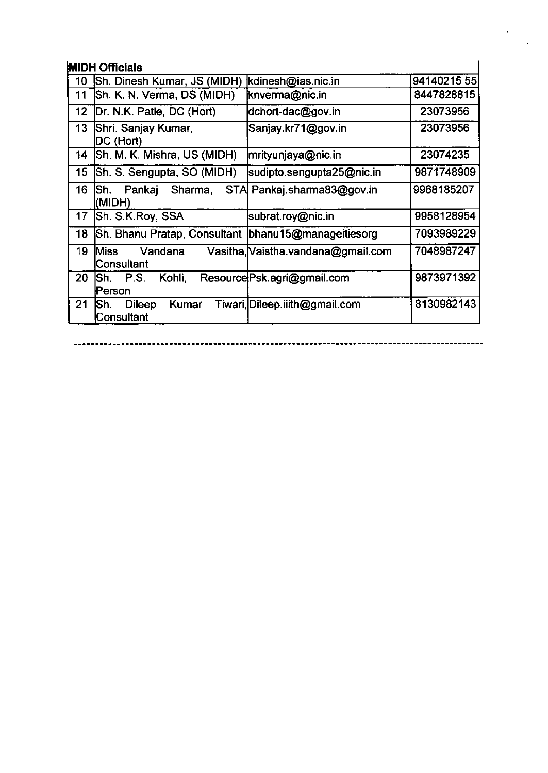# **MIDH Officials**

| <b>MIDH Officials</b> |                                                      |                                    |            |  |  |
|-----------------------|------------------------------------------------------|------------------------------------|------------|--|--|
| 10                    | Sh. Dinesh Kumar, JS (MIDH)                          | kdinesh@ias.nic.in                 | 9414021555 |  |  |
| 11                    | Sh. K. N. Verma, DS (MIDH)                           | knverma@nic.in                     | 8447828815 |  |  |
| 12                    | Dr. N.K. Patle, DC (Hort)                            | dchort-dac@gov.in                  | 23073956   |  |  |
| 13                    | Shri. Sanjay Kumar,<br><b>IDC (Hort)</b>             | Sanjay.kr71@gov.in                 | 23073956   |  |  |
| 14                    | Sh. M. K. Mishra, US (MIDH)                          | mrityunjaya@nic.in                 | 23074235   |  |  |
| 15                    | Sh. S. Sengupta, SO (MIDH)                           | sudipto.sengupta25@nic.in          | 9871748909 |  |  |
| 16                    | lSh.<br>Pankaj Sharma,<br>(MIDH)                     | STA Pankaj sharma83@gov.in         | 9968185207 |  |  |
| 17                    | Sh. S.K.Roy, SSA                                     | subrat.roy@nic.in                  | 9958128954 |  |  |
| 18                    | Sh. Bhanu Pratap, Consultant  bhanu15@manageitiesorg |                                    | 7093989229 |  |  |
| 19                    | Vandana<br>Miss<br>Consultant                        | Vasitha, Vaistha vandana@gmail.com | 7048987247 |  |  |
| 20                    | Kohli,<br>P.S.<br>ISh.<br>lPerson                    | Resource Psk.agri@gmail.com        | 9873971392 |  |  |
| 21                    | <b>Dileep</b><br>Kumar<br>ISh.<br>Consultant         | Tiwari, Dileep.iiith@gmail.com     | 8130982143 |  |  |

 $\sim 20$ 

 $\sim$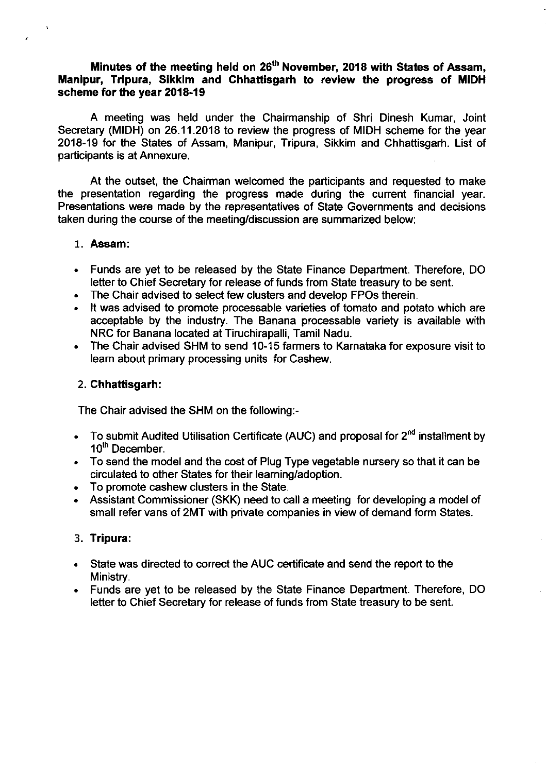### Minutes of the meeting held on 26<sup>th</sup> November, 2018 with States of Assam, Manipur, Tripura, Sikkim and Chhattisgarh to review the progress of MIDH scheme for the year 2018-19

A meeting was held under the Chairmanship of Shri Dinesh Kumar, Joint Secretary (MIDH) on 26.11.2018 to review the progress of MIDH scheme for the year 2018-19 for the States of Assam, Manipur, Tripura, Sikkim and Chhattisgarh. List of participants is at Annexure.

At the outset, the Chairman welcomed the participants and requested to make the presentation regarding the progress made during the cunent financial year. Presentations were made by the representatives of State Governments and decisions taken during the course of the meeting/discussion are summarized below:

#### 1. Assam:

- . Funds are yet to be released by the State Finance Department. Therefore, DO letter to Chief Secretary for release of funds from State treasury to be sent.
- . The Chair advised to select few clusters and develop FPOs therein.
- . lt was advised to promote processable varieties of tomato and potato which are acceptable by the industry. The Banana processable variety is available with NRC for Banana located at Tiruchirapalli, Tamil Nadu.
- . The Chair advised SHM to send 10-15 farmers to Karnataka for exposure visit to learn about primary processing units for Cashew.

#### 2. Chhattisgarh:

The Chair advised the SHM on the following:-

- To submit Audited Utilisation Certificate (AUC) and proposal for  $2<sup>nd</sup>$  installment by 10<sup>th</sup> December.
- . To send the model and the cost of Plug Type vegetable nursery so that it can be circulated to other States for their learning/adoption.
- . To promote cashew clusters in the State.
- . Assistant Commissioner (SKK) need to call a meeting for developing a model of small refer vans of 2MT with private companies in view of demand form States.

#### 3. Tripura:

- State was directed to correct the AUC certificate and send the report to the Ministry.
- Funds are yet to be released by the State Finance Department. Therefore, DO letter to Chief Secretary for release of funds from State treasury to be sent.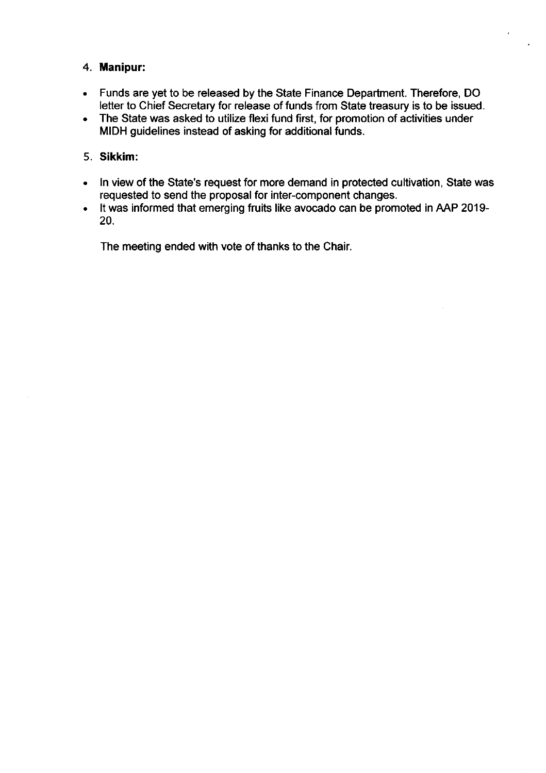# 4. Manipur:

- Funds are yet to be released by the State Finance Department. Therefore, DO letter to Chief Secretary for release of funds from State treasury is to be issued.
- The State was asked to utilize flexi fund first, for promotion of activities under MIDH guidelines instead of asking for additional funds.

# 5. Sikkim:

- ln view of the State's request for more demand in protected cultivation, State was  $\bullet$  . requested to send the proposal for inter-component changes.
- It was informed that emerging fruits like avocado can be promoted in AAP 2019-  $\bullet$ 20.

The meeting ended with vote of thanks to the Chair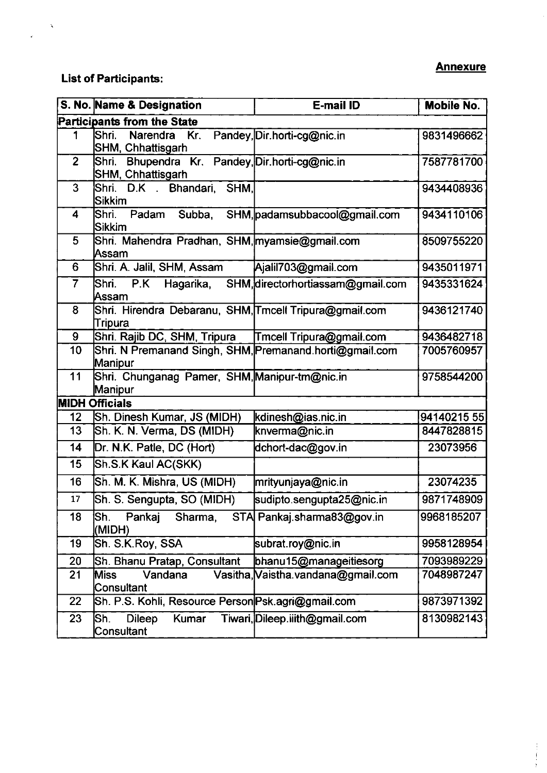# **Annexure**

# List of Participants:

 $\hat{\mathbf{v}}$ 

 $\hat{\mathbf{r}}$ 

|                         | S. No. Name & Designation                                               | E-mail ID                            | <b>Mobile No.</b> |  |  |
|-------------------------|-------------------------------------------------------------------------|--------------------------------------|-------------------|--|--|
|                         | <b>Participants from the State</b>                                      |                                      |                   |  |  |
| 1                       | Shri.<br>Narendra<br>Kr.<br>SHM, Chhattisgarh                           | Pandey, Dir.horti-cg@nic.in          | 9831496662        |  |  |
| $\overline{2}$          | Bhupendra Kr. Pandey, Dir.horti-cg@nic.in<br>Shri.<br>SHM, Chhattisgarh |                                      | 7587781700        |  |  |
| $\overline{3}$          | D.K Bhandari,<br>SHM,<br>Shri.<br><b>Sikkim</b>                         |                                      | 9434408936        |  |  |
| $\overline{\mathbf{4}}$ | Shri.<br>Padam<br><b>Sikkim</b>                                         | Subba, SHM, padamsubbacool@gmail.com | 9434110106        |  |  |
| 5                       | Shri. Mahendra Pradhan, SHM, myamsie@gmail.com<br>Assam                 |                                      | 8509755220        |  |  |
| 6                       | Shri. A. Jalil, SHM, Assam                                              | Ajalil703@gmail.com                  | 9435011971        |  |  |
| $\overline{7}$          | Shri.<br>P.K<br>Hagarika,<br>Assam                                      | SHM, directorhortiassam@gmail.com    | 9435331624        |  |  |
| 8                       | Shri. Hirendra Debaranu, SHM, Tmcell Tripura@gmail.com<br>Tripura       |                                      | 9436121740        |  |  |
| 9                       | Shri. Rajib DC, SHM, Tripura                                            | Tmcell Tripura@gmail.com             | 9436482718        |  |  |
| $\overline{10}$         | Shri. N Premanand Singh, SHM, Premanand.horti@gmail.com<br>Manipur      |                                      | 7005760957        |  |  |
| 11                      | Shri. Chunganag Pamer, SHM, Manipur-tm@nic.in<br>Manipur                |                                      | 9758544200        |  |  |
|                         | <b>MIDH Officials</b>                                                   |                                      |                   |  |  |
| 12                      | Sh. Dinesh Kumar, JS (MIDH)                                             | kdinesh@ias.nic.in                   | 94140215 55       |  |  |
| 13                      | Sh. K. N. Verma, DS (MIDH)                                              | knverma@nic.in                       | 8447828815        |  |  |
| 14                      | Dr. N.K. Patle, DC (Hort)                                               | dchort-dac@gov.in                    | 23073956          |  |  |
| 15                      | Sh.S.K Kaul AC(SKK)                                                     |                                      |                   |  |  |
| 16                      | Sh. M. K. Mishra, US (MIDH)                                             | mrityunjaya@nic.in                   | 23074235          |  |  |
| 17                      | Sh. S. Sengupta, SO (MIDH)                                              | sudipto.sengupta25@nic.in            | 9871748909        |  |  |
| 18                      | Sh.<br>Pankaj<br>Sharma,<br>(MIDH)                                      | STA Pankaj.sharma83@gov.in           | 9968185207        |  |  |
| 19                      | Sh. S.K.Roy, SSA                                                        | subrat.roy@nic.in                    | 9958128954        |  |  |
| 20                      | Sh. Bhanu Pratap, Consultant                                            | bhanu15@manageitiesorg               | 7093989229        |  |  |
| 21                      | <b>Miss</b><br>Vandana<br>Consultant                                    | Vasitha, Vaistha.vandana@gmail.com   | 7048987247        |  |  |
| 22                      | Sh. P.S. Kohli, Resource Person Psk.agri@gmail.com                      |                                      | 9873971392        |  |  |
| 23                      | Sh.<br><b>Dileep</b><br><b>Kumar</b><br>Consultant                      | Tiwari, Dileep.iiith@gmail.com       | 8130982143        |  |  |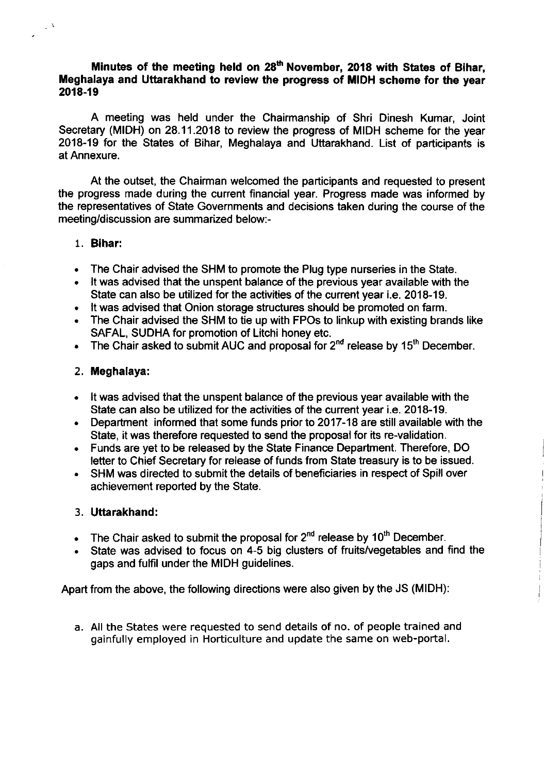### Minutes of the meeting held on 28<sup>th</sup> November, 2018 with States of Bihar, Meghalaya and Uttarakhand to review the progress of MIDH scheme for the year 2018-19

A meeting was held under the Chairmanship of Shri Dinesh Kumar, Joint Secretary (MIDH) on 28.11.2018 to review the progress of MIDH scheme for the year 2018-19 for the States of Bihar, Meghalaya and Uttarakhand. List of participants is at Annexure.

At the outset, the Chairman welcomed the participants and requested to present the progress made during the current financial year. Progress made was informed by the representatives of State Governments and decisions taken during the course of the meeting/discussion are summarized below:-

#### 1. Bihar:

 $\mathcal{C}^{\lambda}$ 

- . The Chair advised the SHM to promote the Plug type nurseries in the State.
- . lt was advised that the unspent balance of the previous year available with the State can also be utilized for the activities of the current year i.e. 2018-19.
- . lt was advised that Onion storage structures should be promoted on farm.
- . The Chair advised the SHM to tie up with FPOs to linkup with existing brands like SAFAL, SUDHA for promotion of Litchi honey etc.
- . The Chair asked to submit AUC and proposal for 2<sup>nd</sup> release by 15<sup>th</sup> December.

#### 2, Meghalaya:

- It was advised that the unspent balance of the previous year available with the State can also be utilized for the activities of the current year i.e. 2018-19.
- Department informed that some funds prior to 2017-18 are still available with the State, it was therefore requested to send the proposal for its re-validation.
- Funds are yet to be released by the State Finance Department. Therefore, DO letter to Chief Secretary for release of funds from State treasury is to be issued.
- SHM was directed to submit the details of beneficiaries in respect of Spill over achievement reported by the State.

#### 3. Uttarakhand:

- . The Chair asked to submit the proposal for  $2<sup>nd</sup>$  release by 10<sup>th</sup> December.
- . State was advised to focus on 4-5 big clusters of fruits/vegetables and find the gaps and fulfil under the MIDH guidelines.

Apart from the above, the following directions were also given by the JS (MIDH):

a. All the States were requested to send details of no. of people trained and gainfully employed in Horticulture and update the same on web-portal.